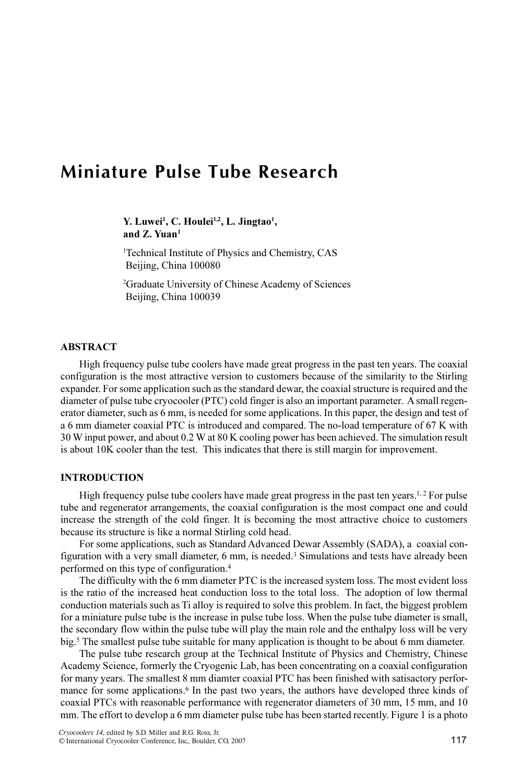# Miniature Pulse Tube Research

Y. Luwei<sup>1</sup>, C. Houlei<sup>1,2</sup>, L. Jingtao<sup>1</sup>, and Z. Yuan<sup>1</sup>

1 Technical Institute of Physics and Chemistry, CAS Beijing, China 100080

2 Graduate University of Chinese Academy of Sciences Beijing, China 100039

## ABSTRACT

High frequency pulse tube coolers have made great progress in the past ten years. The coaxial configuration is the most attractive version to customers because of the similarity to the Stirling expander. For some application such as the standard dewar, the coaxial structure is required and the diameter of pulse tube cryocooler (PTC) cold finger is also an important parameter. A small regenerator diameter, such as 6 mm, is needed for some applications. In this paper, the design and test of a 6 mm diameter coaxial PTC is introduced and compared. The no-load temperature of 67 K with 30 W input power, and about 0.2 W at 80 K cooling power has been achieved. The simulation result is about 10K cooler than the test. This indicates that there is still margin for improvement.

## INTRODUCTION

High frequency pulse tube coolers have made great progress in the past ten years.<sup>1,2</sup> For pulse tube and regenerator arrangements, the coaxial configuration is the most compact one and could increase the strength of the cold finger. It is becoming the most attractive choice to customers because its structure is like a normal Stirling cold head.

For some applications, such as Standard Advanced Dewar Assembly (SADA), a coaxial configuration with a very small diameter, 6 mm, is needed.<sup>3</sup> Simulations and tests have already been performed on this type of configuration.<sup>4</sup>

The difficulty with the 6 mm diameter PTC is the increased system loss. The most evident loss is the ratio of the increased heat conduction loss to the total loss. The adoption of low thermal conduction materials such as Ti alloy is required to solve this problem. In fact, the biggest problem for a miniature pulse tube is the increase in pulse tube loss. When the pulse tube diameter is small, the secondary flow within the pulse tube will play the main role and the enthalpy loss will be very big.<sup>5</sup> The smallest pulse tube suitable for many application is thought to be about 6 mm diameter.

The pulse tube research group at the Technical Institute of Physics and Chemistry, Chinese Academy Science, formerly the Cryogenic Lab, has been concentrating on a coaxial configuration for many years. The smallest 8 mm diamter coaxial PTC has been finished with satisactory performance for some applications.<sup>6</sup> In the past two years, the authors have developed three kinds of coaxial PTCs with reasonable performance with regenerator diameters of 30 mm, 15 mm, and 10 mm. The effort to develop a 6 mm diameter pulse tube has been started recently. Figure 1 is a photo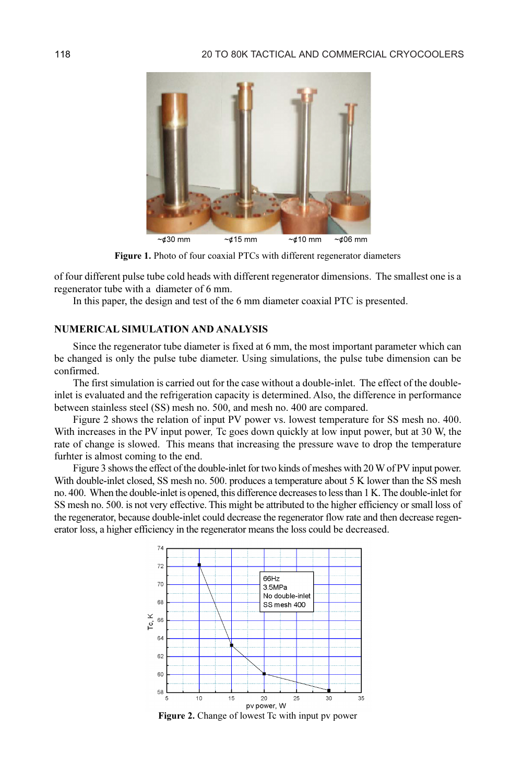

Figure 1. Photo of four coaxial PTCs with different regenerator diameters

of four different pulse tube cold heads with different regenerator dimensions. The smallest one is a regenerator tube with a diameter of 6 mm.

In this paper, the design and test of the 6 mm diameter coaxial PTC is presented.

### NUMERICAL SIMULATION AND ANALYSIS

Since the regenerator tube diameter is fixed at 6 mm, the most important parameter which can be changed is only the pulse tube diameter. Using simulations, the pulse tube dimension can be confirmed.

The first simulation is carried out for the case without a double-inlet. The effect of the doubleinlet is evaluated and the refrigeration capacity is determined. Also, the difference in performance between stainless steel (SS) mesh no. 500, and mesh no. 400 are compared.

Figure 2 shows the relation of input PV power vs. lowest temperature for SS mesh no. 400. With increases in the PV input power, Tc goes down quickly at low input power, but at 30 W, the rate of change is slowed. This means that increasing the pressure wave to drop the temperature furhter is almost coming to the end.

Figure 3 shows the effect of the double-inlet for two kinds of meshes with 20 W of PV input power. With double-inlet closed, SS mesh no. 500. produces a temperature about 5 K lower than the SS mesh no. 400. When the double-inlet is opened, this difference decreases to less than 1 K. The double-inlet for SS mesh no. 500. is not very effective. This might be attributed to the higher efficiency or small loss of the regenerator, because double-inlet could decrease the regenerator flow rate and then decrease regenerator loss, a higher efficiency in the regenerator means the loss could be decreased.



Figure 2. Change of lowest Tc with input pv power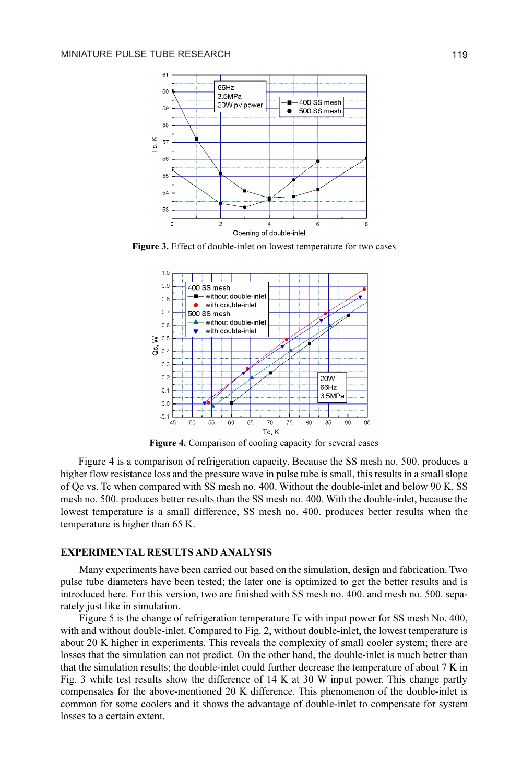

Figure 3. Effect of double-inlet on lowest temperature for two cases



Figure 4. Comparison of cooling capacity for several cases

Figure 4 is a comparison of refrigeration capacity. Because the SS mesh no. 500. produces a higher flow resistance loss and the pressure wave in pulse tube is small, this results in a small slope of Qc vs. Tc when compared with SS mesh no. 400. Without the double-inlet and below 90 K, SS mesh no. 500. produces better results than the SS mesh no. 400. With the double-inlet, because the lowest temperature is a small difference, SS mesh no. 400. produces better results when the temperature is higher than 65 K.

#### EXPERIMENTAL RESULTS AND ANALYSIS

Many experiments have been carried out based on the simulation, design and fabrication. Two pulse tube diameters have been tested; the later one is optimized to get the better results and is introduced here. For this version, two are finished with SS mesh no. 400. and mesh no. 500. separately just like in simulation.

Figure 5 is the change of refrigeration temperature Tc with input power for SS mesh No. 400, with and without double-inlet. Compared to Fig. 2, without double-inlet, the lowest temperature is about 20 K higher in experiments. This reveals the complexity of small cooler system; there are losses that the simulation can not predict. On the other hand, the double-inlet is much better than that the simulation results; the double-inlet could further decrease the temperature of about 7 K in Fig. 3 while test results show the difference of 14 K at 30 W input power. This change partly compensates for the above-mentioned 20 K difference. This phenomenon of the double-inlet is common for some coolers and it shows the advantage of double-inlet to compensate for system losses to a certain extent.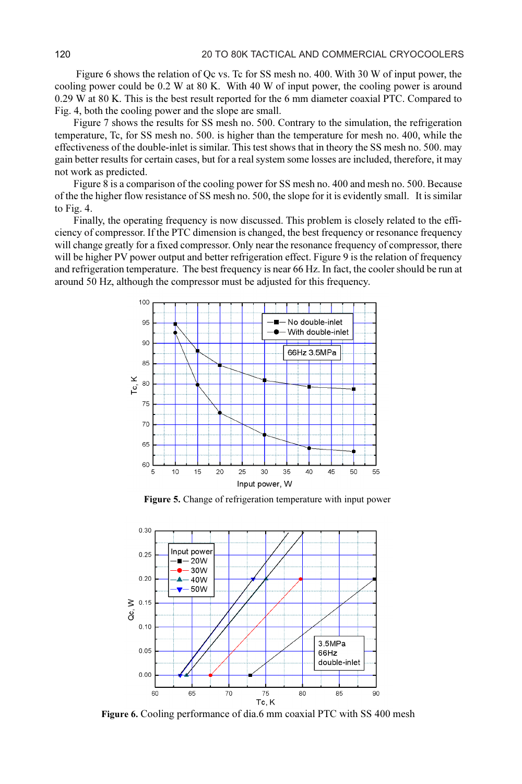Figure 6 shows the relation of Qc vs. Tc for SS mesh no. 400. With 30 W of input power, the cooling power could be 0.2 W at 80 K. With 40 W of input power, the cooling power is around 0.29 W at 80 K. This is the best result reported for the 6 mm diameter coaxial PTC. Compared to Fig. 4, both the cooling power and the slope are small.

Figure 7 shows the results for SS mesh no. 500. Contrary to the simulation, the refrigeration temperature, Tc, for SS mesh no. 500. is higher than the temperature for mesh no. 400, while the effectiveness of the double-inlet is similar. This test shows that in theory the SS mesh no. 500. may gain better results for certain cases, but for a real system some losses are included, therefore, it may not work as predicted.

Figure 8 is a comparison of the cooling power for SS mesh no. 400 and mesh no. 500. Because of the the higher flow resistance of SS mesh no. 500, the slope for it is evidently small. It is similar to Fig. 4.

Finally, the operating frequency is now discussed. This problem is closely related to the efficiency of compressor. If the PTC dimension is changed, the best frequency or resonance frequency will change greatly for a fixed compressor. Only near the resonance frequency of compressor, there will be higher PV power output and better refrigeration effect. Figure 9 is the relation of frequency and refrigeration temperature. The best frequency is near 66 Hz. In fact, the cooler should be run at around 50 Hz, although the compressor must be adjusted for this frequency.



Figure 5. Change of refrigeration temperature with input power



Figure 6. Cooling performance of dia.6 mm coaxial PTC with SS 400 mesh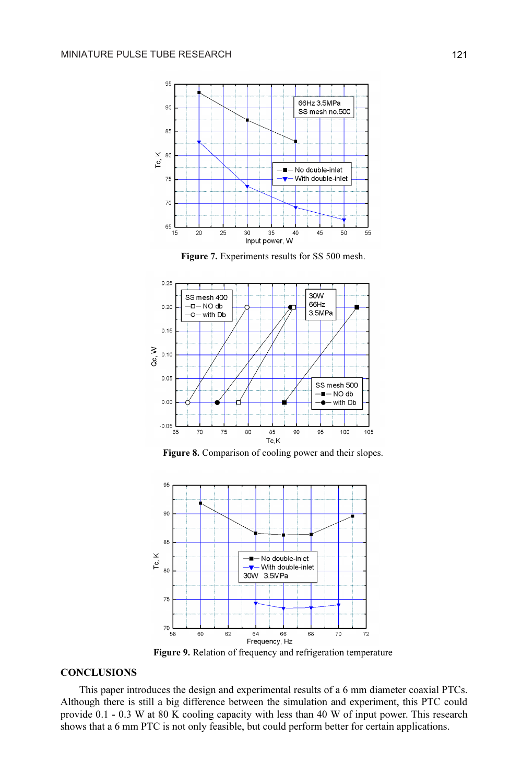









Figure 9. Relation of frequency and refrigeration temperature

#### **CONCLUSIONS**

This paper introduces the design and experimental results of a 6 mm diameter coaxial PTCs. Although there is still a big difference between the simulation and experiment, this PTC could provide 0.1 - 0.3 W at 80 K cooling capacity with less than 40 W of input power. This research shows that a 6 mm PTC is not only feasible, but could perform better for certain applications.